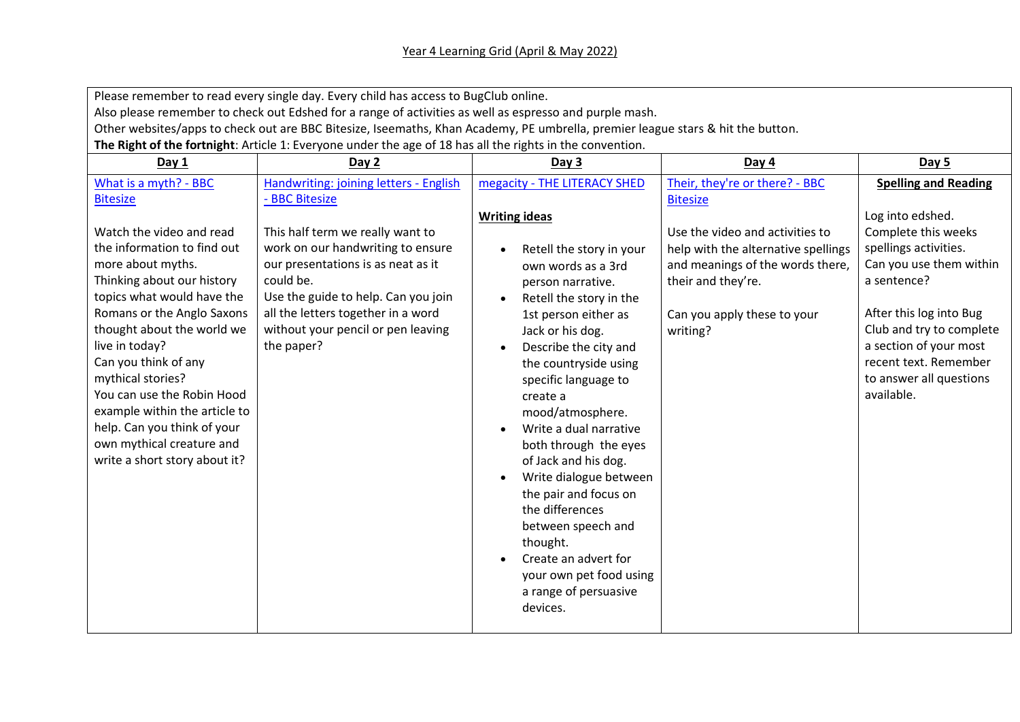Please remember to read every single day. Every child has access to BugClub online.

Also please remember to check out Edshed for a range of activities as well as espresso and purple mash.

Other websites/apps to check out are BBC Bitesize, Iseemaths, Khan Academy, PE umbrella, premier league stars & hit the button.

**The Right of the fortnight**: Article 1: Everyone under the age of 18 has all the rights in the convention.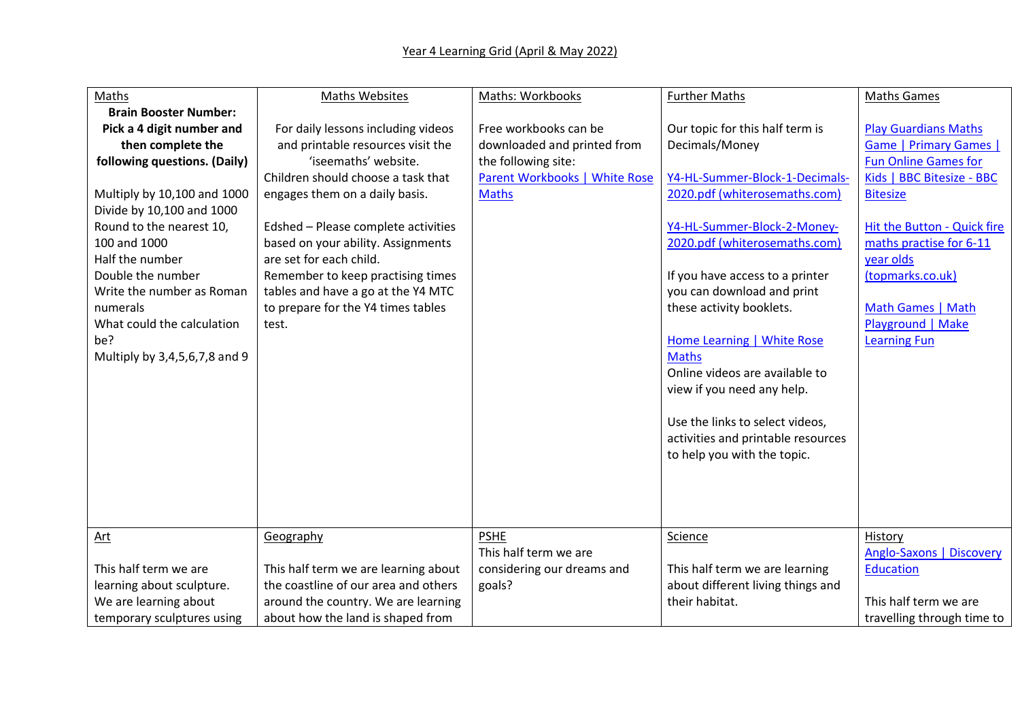| Maths                         | <b>Maths Websites</b>                | Maths: Workbooks              | <b>Further Maths</b>               | <b>Maths Games</b>          |
|-------------------------------|--------------------------------------|-------------------------------|------------------------------------|-----------------------------|
| <b>Brain Booster Number:</b>  |                                      |                               |                                    |                             |
| Pick a 4 digit number and     | For daily lessons including videos   | Free workbooks can be         | Our topic for this half term is    | <b>Play Guardians Maths</b> |
| then complete the             | and printable resources visit the    | downloaded and printed from   | Decimals/Money                     | Game   Primary Games        |
| following questions. (Daily)  | 'iseemaths' website.                 | the following site:           |                                    | <b>Fun Online Games for</b> |
|                               | Children should choose a task that   | Parent Workbooks   White Rose | Y4-HL-Summer-Block-1-Decimals-     | Kids   BBC Bitesize - BBC   |
| Multiply by 10,100 and 1000   | engages them on a daily basis.       | <b>Maths</b>                  | 2020.pdf (whiterosemaths.com)      | <b>Bitesize</b>             |
| Divide by 10,100 and 1000     |                                      |                               |                                    |                             |
| Round to the nearest 10,      | Edshed - Please complete activities  |                               | Y4-HL-Summer-Block-2-Money-        | Hit the Button - Quick fire |
| 100 and 1000                  | based on your ability. Assignments   |                               | 2020.pdf (whiterosemaths.com)      | maths practise for 6-11     |
| Half the number               | are set for each child.              |                               |                                    | year olds                   |
| Double the number             | Remember to keep practising times    |                               | If you have access to a printer    | (topmarks.co.uk)            |
| Write the number as Roman     | tables and have a go at the Y4 MTC   |                               | you can download and print         |                             |
| numerals                      | to prepare for the Y4 times tables   |                               | these activity booklets.           | Math Games   Math           |
| What could the calculation    | test.                                |                               |                                    | Playground   Make           |
| be?                           |                                      |                               | <b>Home Learning   White Rose</b>  | <b>Learning Fun</b>         |
| Multiply by 3,4,5,6,7,8 and 9 |                                      |                               | <b>Maths</b>                       |                             |
|                               |                                      |                               | Online videos are available to     |                             |
|                               |                                      |                               | view if you need any help.         |                             |
|                               |                                      |                               |                                    |                             |
|                               |                                      |                               | Use the links to select videos,    |                             |
|                               |                                      |                               | activities and printable resources |                             |
|                               |                                      |                               | to help you with the topic.        |                             |
|                               |                                      |                               |                                    |                             |
|                               |                                      |                               |                                    |                             |
|                               |                                      |                               |                                    |                             |
|                               |                                      |                               |                                    |                             |
| <u>Art</u>                    | Geography                            | <b>PSHE</b>                   | Science                            | History                     |
|                               |                                      | This half term we are         |                                    | Anglo-Saxons   Discovery    |
| This half term we are         | This half term we are learning about | considering our dreams and    | This half term we are learning     | <b>Education</b>            |
| learning about sculpture.     | the coastline of our area and others | goals?                        | about different living things and  |                             |
| We are learning about         | around the country. We are learning  |                               | their habitat.                     | This half term we are       |
| temporary sculptures using    | about how the land is shaped from    |                               |                                    | travelling through time to  |